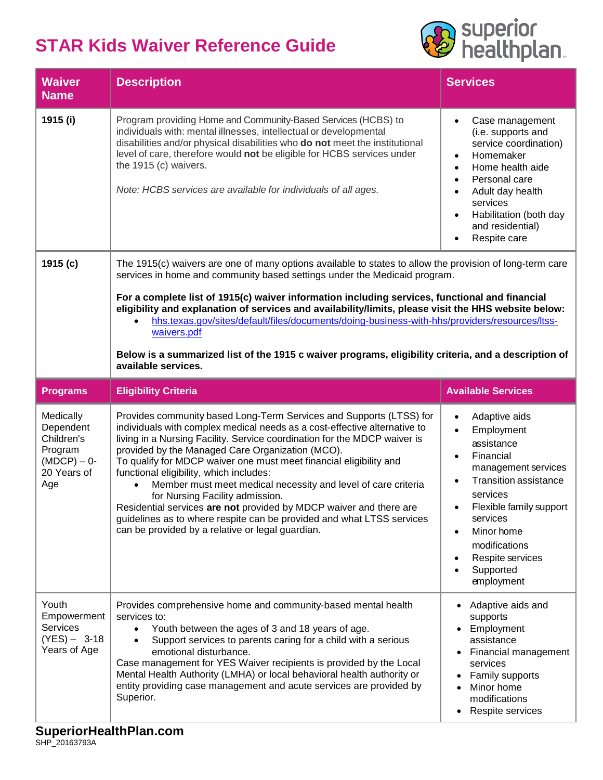## **STAR Kids Waiver Reference Guide**



| <b>Waiver</b><br><b>Name</b>                                                          | <b>Description</b>                                                                                                                                                                                                                                                                                                                                                                                                                                                                                                                                                                                                                                                                                        | <b>Services</b>                                                                                                                                                                                                                                                                                           |  |
|---------------------------------------------------------------------------------------|-----------------------------------------------------------------------------------------------------------------------------------------------------------------------------------------------------------------------------------------------------------------------------------------------------------------------------------------------------------------------------------------------------------------------------------------------------------------------------------------------------------------------------------------------------------------------------------------------------------------------------------------------------------------------------------------------------------|-----------------------------------------------------------------------------------------------------------------------------------------------------------------------------------------------------------------------------------------------------------------------------------------------------------|--|
| 1915 (i)                                                                              | Program providing Home and Community-Based Services (HCBS) to<br>individuals with: mental illnesses, intellectual or developmental<br>disabilities and/or physical disabilities who do not meet the institutional<br>level of care, therefore would not be eligible for HCBS services under<br>the 1915 (c) waivers.<br>Note: HCBS services are available for individuals of all ages.                                                                                                                                                                                                                                                                                                                    | Case management<br>$\bullet$<br>(i.e. supports and<br>service coordination)<br>Homemaker<br>$\bullet$<br>Home health aide<br>$\bullet$<br>Personal care<br>$\bullet$<br>Adult day health<br>$\bullet$<br>services<br>Habilitation (both day<br>$\bullet$<br>and residential)<br>Respite care<br>$\bullet$ |  |
| 1915 (c)                                                                              | The 1915(c) waivers are one of many options available to states to allow the provision of long-term care<br>services in home and community based settings under the Medicaid program.<br>For a complete list of 1915(c) waiver information including services, functional and financial<br>eligibility and explanation of services and availability/limits, please visit the HHS website below:<br>hhs.texas.gov/sites/default/files/documents/doing-business-with-hhs/providers/resources/ltss-<br>waivers.pdf<br>Below is a summarized list of the 1915 c waiver programs, eligibility criteria, and a description of<br>available services.                                                            |                                                                                                                                                                                                                                                                                                           |  |
| <b>Programs</b>                                                                       | <b>Eligibility Criteria</b>                                                                                                                                                                                                                                                                                                                                                                                                                                                                                                                                                                                                                                                                               | <b>Available Services</b>                                                                                                                                                                                                                                                                                 |  |
| Medically<br>Dependent<br>Children's<br>Program<br>$(MDCP) - 0$<br>20 Years of<br>Age | Provides community based Long-Term Services and Supports (LTSS) for<br>individuals with complex medical needs as a cost-effective alternative to<br>living in a Nursing Facility. Service coordination for the MDCP waiver is<br>provided by the Managed Care Organization (MCO).<br>To qualify for MDCP waiver one must meet financial eligibility and<br>functional eligibility, which includes:<br>Member must meet medical necessity and level of care criteria<br>for Nursing Facility admission.<br>Residential services are not provided by MDCP waiver and there are<br>guidelines as to where respite can be provided and what LTSS services<br>can be provided by a relative or legal guardian. | Adaptive aids<br>$\bullet$<br>Employment<br>$\bullet$<br>assistance<br>Financial<br>$\bullet$<br>management services<br><b>Transition assistance</b><br>$\bullet$<br>services<br>Flexible family support<br>services<br>Minor home<br>modifications<br>Respite services<br>Supported<br>employment        |  |
| Youth<br>Empowerment<br><b>Services</b><br>$(YES) - 3-18$<br>Years of Age             | Provides comprehensive home and community-based mental health<br>services to:<br>Youth between the ages of 3 and 18 years of age.<br>$\bullet$<br>Support services to parents caring for a child with a serious<br>emotional disturbance.<br>Case management for YES Waiver recipients is provided by the Local<br>Mental Health Authority (LMHA) or local behavioral health authority or<br>entity providing case management and acute services are provided by<br>Superior.                                                                                                                                                                                                                             | Adaptive aids and<br>supports<br>Employment<br>assistance<br>Financial management<br>services<br>Family supports<br>Minor home<br>modifications<br>Respite services<br>٠                                                                                                                                  |  |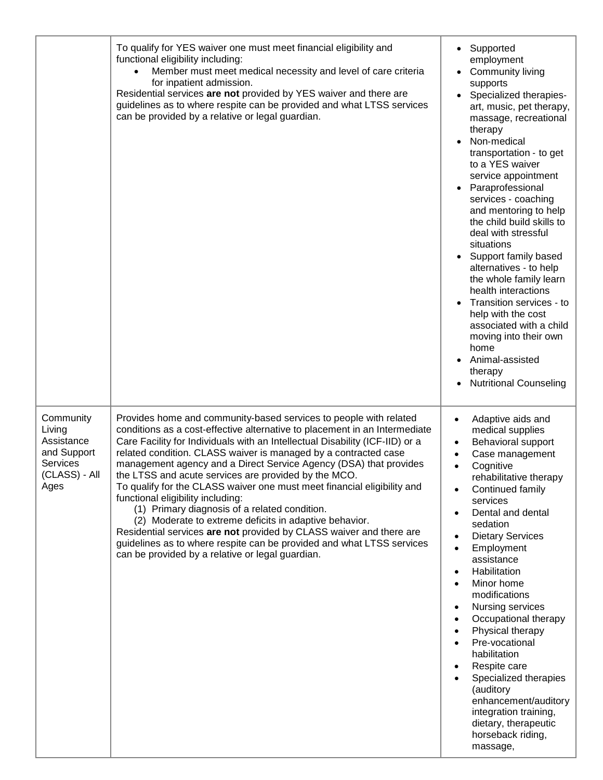|                                                                                       | To qualify for YES waiver one must meet financial eligibility and<br>functional eligibility including:<br>Member must meet medical necessity and level of care criteria<br>for inpatient admission.<br>Residential services are not provided by YES waiver and there are<br>guidelines as to where respite can be provided and what LTSS services<br>can be provided by a relative or legal guardian.                                                                                                                                                                                                                                                                                                                                                                                                                                                          | • Supported<br>employment<br>Community living<br>supports<br>Specialized therapies-<br>art, music, pet therapy,<br>massage, recreational<br>therapy<br>Non-medical<br>transportation - to get<br>to a YES waiver<br>service appointment<br>Paraprofessional<br>services - coaching<br>and mentoring to help<br>the child build skills to<br>deal with stressful<br>situations<br>Support family based<br>alternatives - to help<br>the whole family learn<br>health interactions<br>Transition services - to<br>help with the cost<br>associated with a child<br>moving into their own<br>home<br>Animal-assisted<br>therapy<br><b>Nutritional Counseling</b> |
|---------------------------------------------------------------------------------------|----------------------------------------------------------------------------------------------------------------------------------------------------------------------------------------------------------------------------------------------------------------------------------------------------------------------------------------------------------------------------------------------------------------------------------------------------------------------------------------------------------------------------------------------------------------------------------------------------------------------------------------------------------------------------------------------------------------------------------------------------------------------------------------------------------------------------------------------------------------|---------------------------------------------------------------------------------------------------------------------------------------------------------------------------------------------------------------------------------------------------------------------------------------------------------------------------------------------------------------------------------------------------------------------------------------------------------------------------------------------------------------------------------------------------------------------------------------------------------------------------------------------------------------|
| Community<br>Living<br>Assistance<br>and Support<br>Services<br>(CLASS) - All<br>Ages | Provides home and community-based services to people with related<br>conditions as a cost-effective alternative to placement in an Intermediate<br>Care Facility for Individuals with an Intellectual Disability (ICF-IID) or a<br>related condition. CLASS waiver is managed by a contracted case<br>management agency and a Direct Service Agency (DSA) that provides<br>the LTSS and acute services are provided by the MCO.<br>To qualify for the CLASS waiver one must meet financial eligibility and<br>functional eligibility including:<br>(1) Primary diagnosis of a related condition.<br>(2) Moderate to extreme deficits in adaptive behavior.<br>Residential services are not provided by CLASS waiver and there are<br>guidelines as to where respite can be provided and what LTSS services<br>can be provided by a relative or legal guardian. | Adaptive aids and<br>$\bullet$<br>medical supplies<br>Behavioral support<br>Case management<br>Cognitive<br>$\bullet$<br>rehabilitative therapy<br>Continued family<br>services<br>Dental and dental<br>sedation<br><b>Dietary Services</b><br>Employment<br>$\bullet$<br>assistance<br>Habilitation<br>$\bullet$<br>Minor home<br>modifications<br>Nursing services<br>Occupational therapy<br>Physical therapy<br>Pre-vocational<br>habilitation<br>Respite care<br>Specialized therapies<br>(auditory<br>enhancement/auditory<br>integration training,<br>dietary, therapeutic<br>horseback riding,<br>massage,                                            |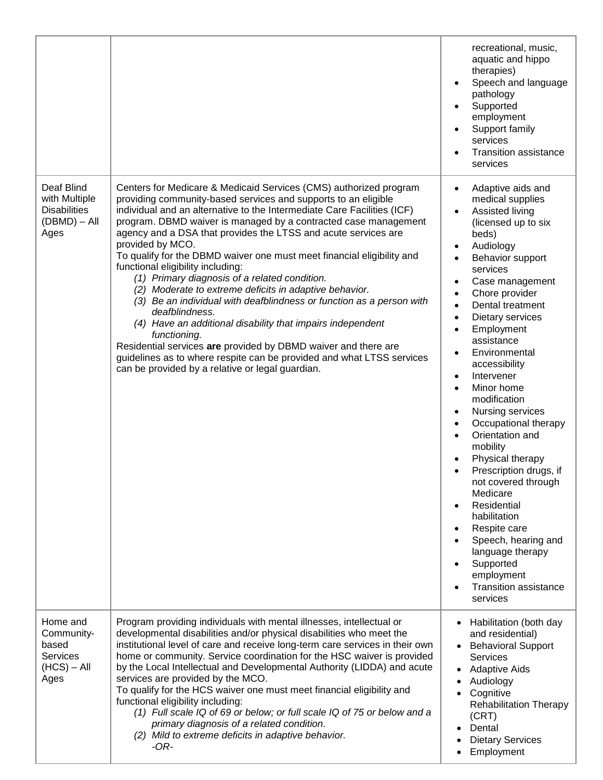|                                                                             |                                                                                                                                                                                                                                                                                                                                                                                                                                                                                                                                                                                                                                                                                                                                                                                                                                                                                                                                                                          | recreational, music,<br>aquatic and hippo<br>therapies)<br>Speech and language<br>pathology<br>Supported<br>employment<br>Support family<br>services<br><b>Transition assistance</b><br>services                                                                                                                                                                                                                                                                                                                                                                                                                                                                                                                                                                                                                                                                  |
|-----------------------------------------------------------------------------|--------------------------------------------------------------------------------------------------------------------------------------------------------------------------------------------------------------------------------------------------------------------------------------------------------------------------------------------------------------------------------------------------------------------------------------------------------------------------------------------------------------------------------------------------------------------------------------------------------------------------------------------------------------------------------------------------------------------------------------------------------------------------------------------------------------------------------------------------------------------------------------------------------------------------------------------------------------------------|-------------------------------------------------------------------------------------------------------------------------------------------------------------------------------------------------------------------------------------------------------------------------------------------------------------------------------------------------------------------------------------------------------------------------------------------------------------------------------------------------------------------------------------------------------------------------------------------------------------------------------------------------------------------------------------------------------------------------------------------------------------------------------------------------------------------------------------------------------------------|
| Deaf Blind<br>with Multiple<br><b>Disabilities</b><br>(DBMD) – All<br>Ages  | Centers for Medicare & Medicaid Services (CMS) authorized program<br>providing community-based services and supports to an eligible<br>individual and an alternative to the Intermediate Care Facilities (ICF)<br>program. DBMD waiver is managed by a contracted case management<br>agency and a DSA that provides the LTSS and acute services are<br>provided by MCO.<br>To qualify for the DBMD waiver one must meet financial eligibility and<br>functional eligibility including:<br>(1) Primary diagnosis of a related condition.<br>(2) Moderate to extreme deficits in adaptive behavior.<br>(3) Be an individual with deafblindness or function as a person with<br>deafblindness.<br>(4) Have an additional disability that impairs independent<br>functioning.<br>Residential services are provided by DBMD waiver and there are<br>guidelines as to where respite can be provided and what LTSS services<br>can be provided by a relative or legal guardian. | Adaptive aids and<br>$\bullet$<br>medical supplies<br>Assisted living<br>$\bullet$<br>(licensed up to six<br>beds)<br>Audiology<br>$\bullet$<br>Behavior support<br>$\bullet$<br>services<br>Case management<br>٠<br>Chore provider<br>$\bullet$<br>Dental treatment<br>$\bullet$<br>Dietary services<br>$\bullet$<br>Employment<br>$\bullet$<br>assistance<br>Environmental<br>$\bullet$<br>accessibility<br>Intervener<br>$\bullet$<br>Minor home<br>$\bullet$<br>modification<br>Nursing services<br>$\bullet$<br>Occupational therapy<br>$\bullet$<br>Orientation and<br>$\bullet$<br>mobility<br>Physical therapy<br>Prescription drugs, if<br>not covered through<br>Medicare<br>Residential<br>$\bullet$<br>habilitation<br>Respite care<br>Speech, hearing and<br>language therapy<br>Supported<br>employment<br><b>Transition assistance</b><br>services |
| Home and<br>Community-<br>based<br><b>Services</b><br>$(HCS) - All$<br>Ages | Program providing individuals with mental illnesses, intellectual or<br>developmental disabilities and/or physical disabilities who meet the<br>institutional level of care and receive long-term care services in their own<br>home or community. Service coordination for the HSC waiver is provided<br>by the Local Intellectual and Developmental Authority (LIDDA) and acute<br>services are provided by the MCO.<br>To qualify for the HCS waiver one must meet financial eligibility and<br>functional eligibility including:<br>(1) Full scale IQ of 69 or below; or full scale IQ of 75 or below and a<br>primary diagnosis of a related condition.<br>(2) Mild to extreme deficits in adaptive behavior.<br>-OR-                                                                                                                                                                                                                                               | Habilitation (both day<br>٠<br>and residential)<br><b>Behavioral Support</b><br>$\bullet$<br>Services<br><b>Adaptive Aids</b><br>٠<br>Audiology<br>٠<br>Cognitive<br><b>Rehabilitation Therapy</b><br>(CRT)<br>Dental<br><b>Dietary Services</b><br>Employment                                                                                                                                                                                                                                                                                                                                                                                                                                                                                                                                                                                                    |